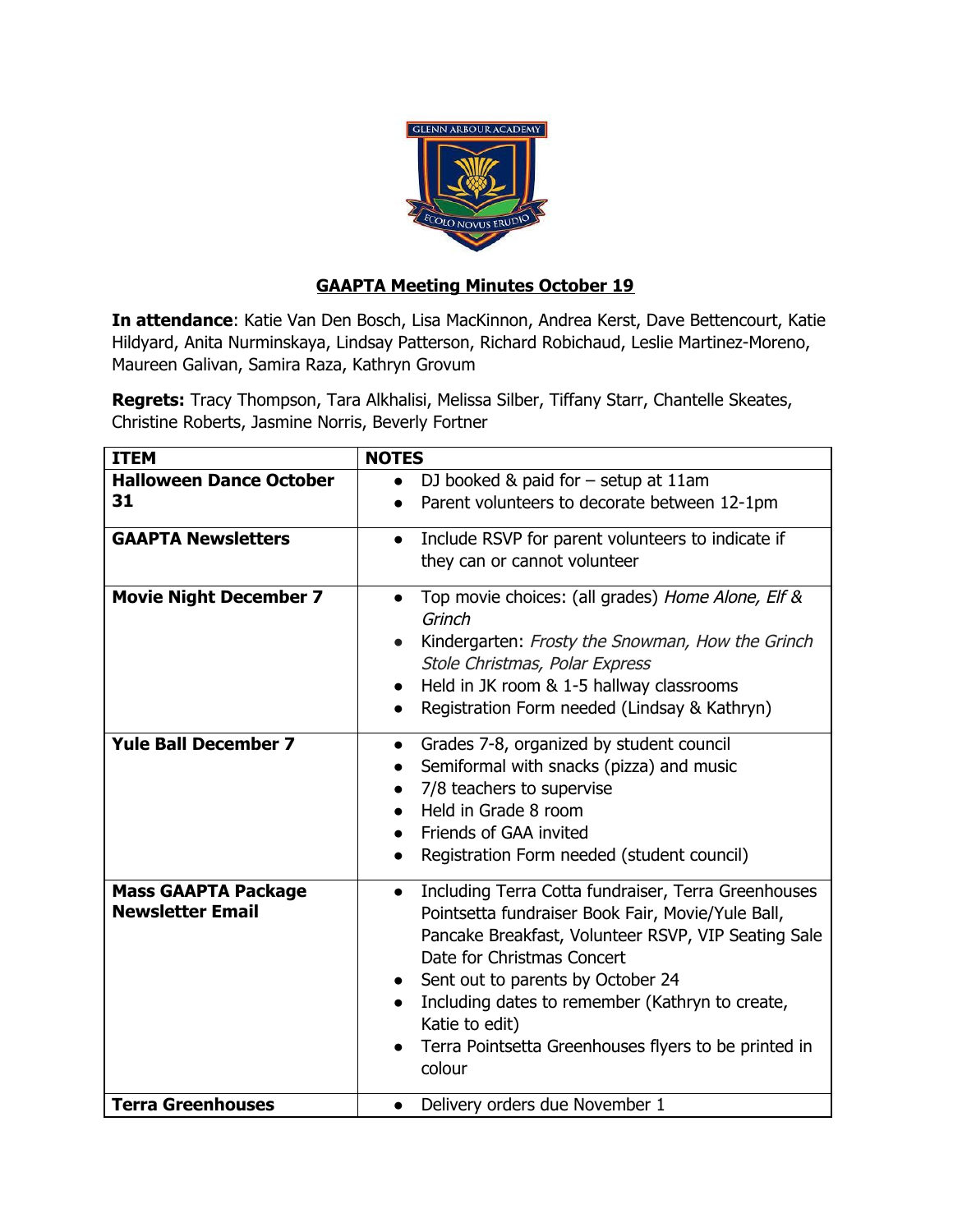

## **GAAPTA Meeting Minutes October 19**

**In attendance**: Katie Van Den Bosch, Lisa MacKinnon, Andrea Kerst, Dave Bettencourt, Katie Hildyard, Anita Nurminskaya, Lindsay Patterson, Richard Robichaud, Leslie Martinez-Moreno, Maureen Galivan, Samira Raza, Kathryn Grovum

**Regrets:** Tracy Thompson, Tara Alkhalisi, Melissa Silber, Tiffany Starr, Chantelle Skeates, Christine Roberts, Jasmine Norris, Beverly Fortner

| <b>ITEM</b>                                           | <b>NOTES</b>                                                                                                                                                                                                                                                                                                                                                                           |
|-------------------------------------------------------|----------------------------------------------------------------------------------------------------------------------------------------------------------------------------------------------------------------------------------------------------------------------------------------------------------------------------------------------------------------------------------------|
| <b>Halloween Dance October</b><br>31                  | DJ booked & paid for $-$ setup at 11am<br>$\bullet$                                                                                                                                                                                                                                                                                                                                    |
|                                                       | Parent volunteers to decorate between 12-1pm<br>$\bullet$                                                                                                                                                                                                                                                                                                                              |
| <b>GAAPTA Newsletters</b>                             | Include RSVP for parent volunteers to indicate if<br>$\bullet$<br>they can or cannot volunteer                                                                                                                                                                                                                                                                                         |
| <b>Movie Night December 7</b>                         | Top movie choices: (all grades) Home Alone, Elf &<br>$\bullet$<br>Grinch<br>Kindergarten: Frosty the Snowman, How the Grinch<br>Stole Christmas, Polar Express<br>Held in JK room & 1-5 hallway classrooms<br>Registration Form needed (Lindsay & Kathryn)<br>$\bullet$                                                                                                                |
| <b>Yule Ball December 7</b>                           | Grades 7-8, organized by student council<br>$\bullet$<br>Semiformal with snacks (pizza) and music<br>7/8 teachers to supervise<br>$\bullet$<br>Held in Grade 8 room<br>Friends of GAA invited<br>Registration Form needed (student council)                                                                                                                                            |
| <b>Mass GAAPTA Package</b><br><b>Newsletter Email</b> | Including Terra Cotta fundraiser, Terra Greenhouses<br>$\bullet$<br>Pointsetta fundraiser Book Fair, Movie/Yule Ball,<br>Pancake Breakfast, Volunteer RSVP, VIP Seating Sale<br>Date for Christmas Concert<br>Sent out to parents by October 24<br>Including dates to remember (Kathryn to create,<br>Katie to edit)<br>Terra Pointsetta Greenhouses flyers to be printed in<br>colour |
| <b>Terra Greenhouses</b>                              | Delivery orders due November 1                                                                                                                                                                                                                                                                                                                                                         |